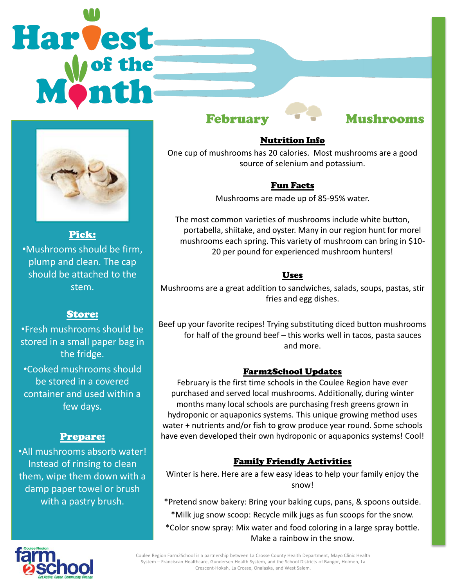# Harvest



Pick: •Mushrooms should be firm, plump and clean. The cap should be attached to the stem.

### Store:

•Fresh mushrooms should be stored in a small paper bag in the fridge. •Cooked mushrooms should be stored in a covered container and used within a few days.

### Prepare:

•All mushrooms absorb water! Instead of rinsing to clean them, wipe them down with a damp paper towel or brush with a pastry brush.

# February Mushrooms

## Nutrition Info

One cup of mushrooms has 20 calories. Most mushrooms are a good source of selenium and potassium.

### Fun Facts

Mushrooms are made up of 85-95% water.

The most common varieties of mushrooms include white button, portabella, shiitake, and oyster. Many in our region hunt for morel mushrooms each spring. This variety of mushroom can bring in \$10- 20 per pound for experienced mushroom hunters!

### Uses

Mushrooms are a great addition to sandwiches, salads, soups, pastas, stir fries and egg dishes.

Beef up your favorite recipes! Trying substituting diced button mushrooms for half of the ground beef – this works well in tacos, pasta sauces and more.

### Farm2School Updates

February is the first time schools in the Coulee Region have ever purchased and served local mushrooms. Additionally, during winter months many local schools are purchasing fresh greens grown in hydroponic or aquaponics systems. This unique growing method uses water + nutrients and/or fish to grow produce year round. Some schools have even developed their own hydroponic or aquaponics systems! Cool!

### Family Friendly Activities

Winter is here. Here are a few easy ideas to help your family enjoy the snow!

\*Pretend snow bakery: Bring your baking cups, pans, & spoons outside. \*Milk jug snow scoop: Recycle milk jugs as fun scoops for the snow.

\*Color snow spray: Mix water and food coloring in a large spray bottle. Make a rainbow in the snow.



Coulee Region Farm2School is a partnership between La Crosse County Health Department, Mayo Clinic Health System – Franciscan Healthcare, Gundersen Health System, and the School Districts of Bangor, Holmen, La Crescent-Hokah, La Crosse, Onalaska, and West Salem.